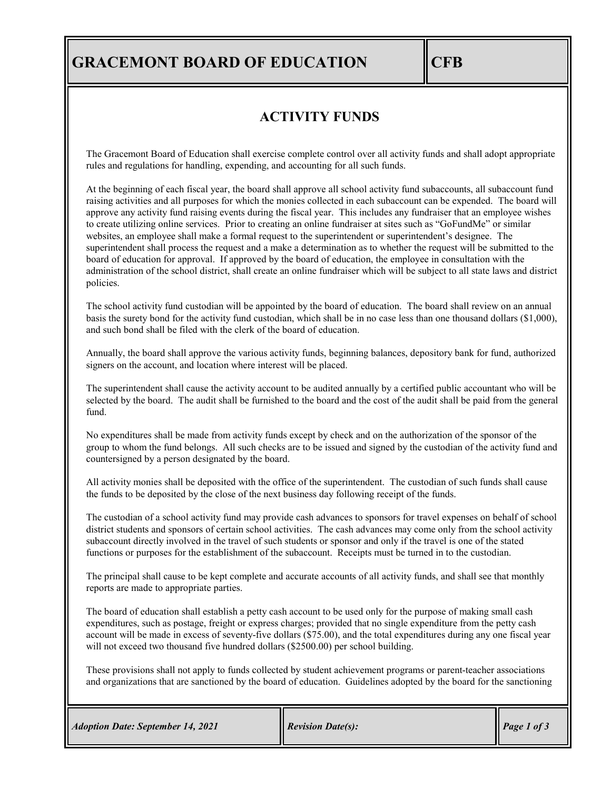# **GRACEMONT BOARD OF EDUCATION CFB**

### **ACTIVITY FUNDS**

The Gracemont Board of Education shall exercise complete control over all activity funds and shall adopt appropriate rules and regulations for handling, expending, and accounting for all such funds.

At the beginning of each fiscal year, the board shall approve all school activity fund subaccounts, all subaccount fund raising activities and all purposes for which the monies collected in each subaccount can be expended. The board will approve any activity fund raising events during the fiscal year. This includes any fundraiser that an employee wishes to create utilizing online services. Prior to creating an online fundraiser at sites such as "GoFundMe" or similar websites, an employee shall make a formal request to the superintendent or superintendent's designee. The superintendent shall process the request and a make a determination as to whether the request will be submitted to the board of education for approval. If approved by the board of education, the employee in consultation with the administration of the school district, shall create an online fundraiser which will be subject to all state laws and district policies.

The school activity fund custodian will be appointed by the board of education. The board shall review on an annual basis the surety bond for the activity fund custodian, which shall be in no case less than one thousand dollars (\$1,000), and such bond shall be filed with the clerk of the board of education.

Annually, the board shall approve the various activity funds, beginning balances, depository bank for fund, authorized signers on the account, and location where interest will be placed.

The superintendent shall cause the activity account to be audited annually by a certified public accountant who will be selected by the board. The audit shall be furnished to the board and the cost of the audit shall be paid from the general fund.

No expenditures shall be made from activity funds except by check and on the authorization of the sponsor of the group to whom the fund belongs. All such checks are to be issued and signed by the custodian of the activity fund and countersigned by a person designated by the board.

All activity monies shall be deposited with the office of the superintendent. The custodian of such funds shall cause the funds to be deposited by the close of the next business day following receipt of the funds.

The custodian of a school activity fund may provide cash advances to sponsors for travel expenses on behalf of school district students and sponsors of certain school activities. The cash advances may come only from the school activity subaccount directly involved in the travel of such students or sponsor and only if the travel is one of the stated functions or purposes for the establishment of the subaccount. Receipts must be turned in to the custodian.

The principal shall cause to be kept complete and accurate accounts of all activity funds, and shall see that monthly reports are made to appropriate parties.

The board of education shall establish a petty cash account to be used only for the purpose of making small cash expenditures, such as postage, freight or express charges; provided that no single expenditure from the petty cash account will be made in excess of seventy-five dollars (\$75.00), and the total expenditures during any one fiscal year will not exceed two thousand five hundred dollars (\$2500.00) per school building.

These provisions shall not apply to funds collected by student achievement programs or parent-teacher associations and organizations that are sanctioned by the board of education. Guidelines adopted by the board for the sanctioning

|  |  | <b>Adoption Date: September 14, 2021</b> |  |
|--|--|------------------------------------------|--|
|--|--|------------------------------------------|--|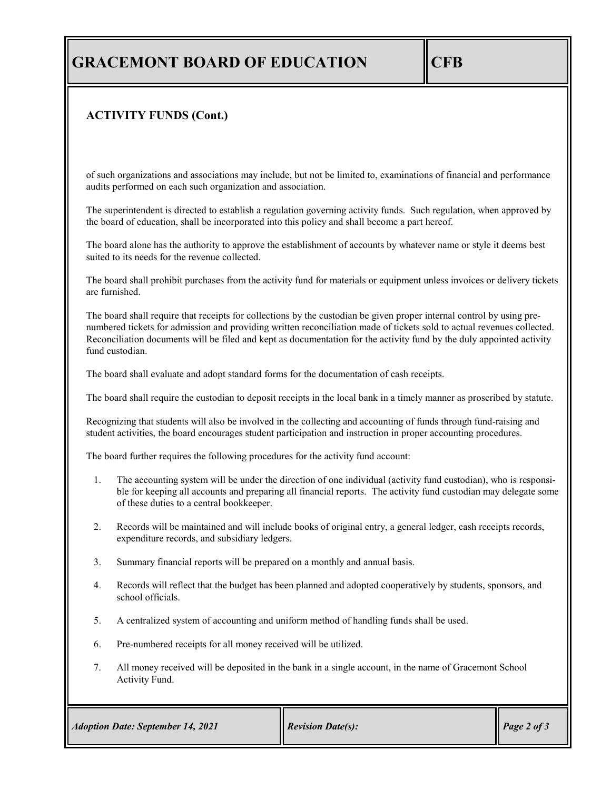## **GRACEMONT BOARD OF EDUCATION CFB**

#### **ACTIVITY FUNDS (Cont.)**

of such organizations and associations may include, but not be limited to, examinations of financial and performance audits performed on each such organization and association.

The superintendent is directed to establish a regulation governing activity funds. Such regulation, when approved by the board of education, shall be incorporated into this policy and shall become a part hereof.

The board alone has the authority to approve the establishment of accounts by whatever name or style it deems best suited to its needs for the revenue collected.

The board shall prohibit purchases from the activity fund for materials or equipment unless invoices or delivery tickets are furnished.

The board shall require that receipts for collections by the custodian be given proper internal control by using prenumbered tickets for admission and providing written reconciliation made of tickets sold to actual revenues collected. Reconciliation documents will be filed and kept as documentation for the activity fund by the duly appointed activity fund custodian.

The board shall evaluate and adopt standard forms for the documentation of cash receipts.

The board shall require the custodian to deposit receipts in the local bank in a timely manner as proscribed by statute.

Recognizing that students will also be involved in the collecting and accounting of funds through fund-raising and student activities, the board encourages student participation and instruction in proper accounting procedures.

The board further requires the following procedures for the activity fund account:

- 1. The accounting system will be under the direction of one individual (activity fund custodian), who is responsible for keeping all accounts and preparing all financial reports. The activity fund custodian may delegate some of these duties to a central bookkeeper.
- 2. Records will be maintained and will include books of original entry, a general ledger, cash receipts records, expenditure records, and subsidiary ledgers.
- 3. Summary financial reports will be prepared on a monthly and annual basis.
- 4. Records will reflect that the budget has been planned and adopted cooperatively by students, sponsors, and school officials.
- 5. A centralized system of accounting and uniform method of handling funds shall be used.
- 6. Pre-numbered receipts for all money received will be utilized.
- 7. All money received will be deposited in the bank in a single account, in the name of Gracemont School Activity Fund.

| <b>Adoption Date: September 14, 2021</b> | <b>Revision Date(s):</b> | Page 2 of 3 |
|------------------------------------------|--------------------------|-------------|
|------------------------------------------|--------------------------|-------------|